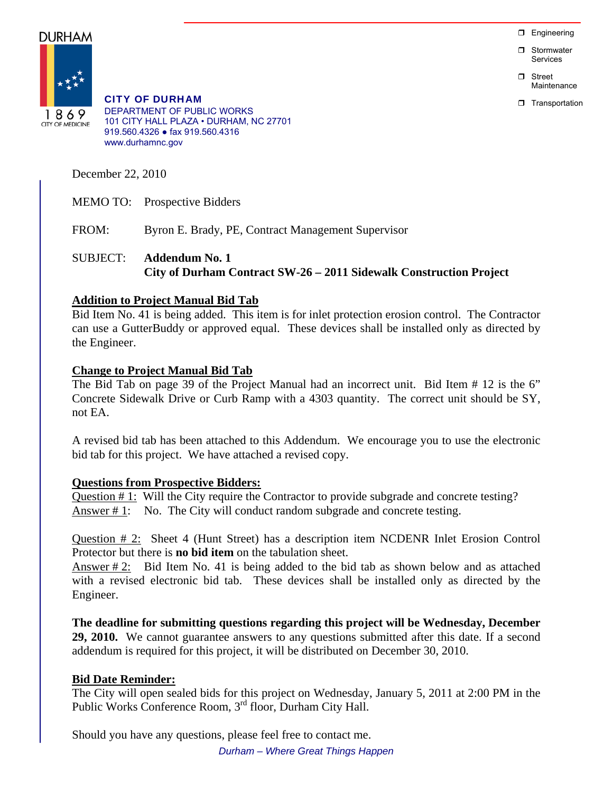**D** Engineering

**D** Stormwater Services

n Street Maintenance

**T** Transportation

DURHAM



CITY OF DURHAM DEPARTMENT OF PUBLIC WORKS 101 CITY HALL PLAZA • DURHAM, NC 27701 919.560.4326 ● fax 919.560.4316 www.durhamnc.gov

December 22, 2010

MEMO TO: Prospective Bidders

FROM: Byron E. Brady, PE, Contract Management Supervisor

# SUBJECT: **Addendum No. 1 City of Durham Contract SW-26 – 2011 Sidewalk Construction Project**

## **Addition to Project Manual Bid Tab**

Bid Item No. 41 is being added. This item is for inlet protection erosion control. The Contractor can use a GutterBuddy or approved equal. These devices shall be installed only as directed by the Engineer.

### **Change to Project Manual Bid Tab**

The Bid Tab on page 39 of the Project Manual had an incorrect unit. Bid Item # 12 is the 6" Concrete Sidewalk Drive or Curb Ramp with a 4303 quantity. The correct unit should be SY, not EA.

A revised bid tab has been attached to this Addendum. We encourage you to use the electronic bid tab for this project. We have attached a revised copy.

#### **Questions from Prospective Bidders:**

Question # 1: Will the City require the Contractor to provide subgrade and concrete testing? Answer #1: No. The City will conduct random subgrade and concrete testing.

Question # 2: Sheet 4 (Hunt Street) has a description item NCDENR Inlet Erosion Control Protector but there is **no bid item** on the tabulation sheet.

Answer  $\# 2$ : Bid Item No. 41 is being added to the bid tab as shown below and as attached with a revised electronic bid tab. These devices shall be installed only as directed by the Engineer.

**The deadline for submitting questions regarding this project will be Wednesday, December 29, 2010.** We cannot guarantee answers to any questions submitted after this date. If a second addendum is required for this project, it will be distributed on December 30, 2010.

## **Bid Date Reminder:**

The City will open sealed bids for this project on Wednesday, January 5, 2011 at 2:00 PM in the Public Works Conference Room, 3rd floor, Durham City Hall.

Should you have any questions, please feel free to contact me. *Durham – Where Great Things Happen*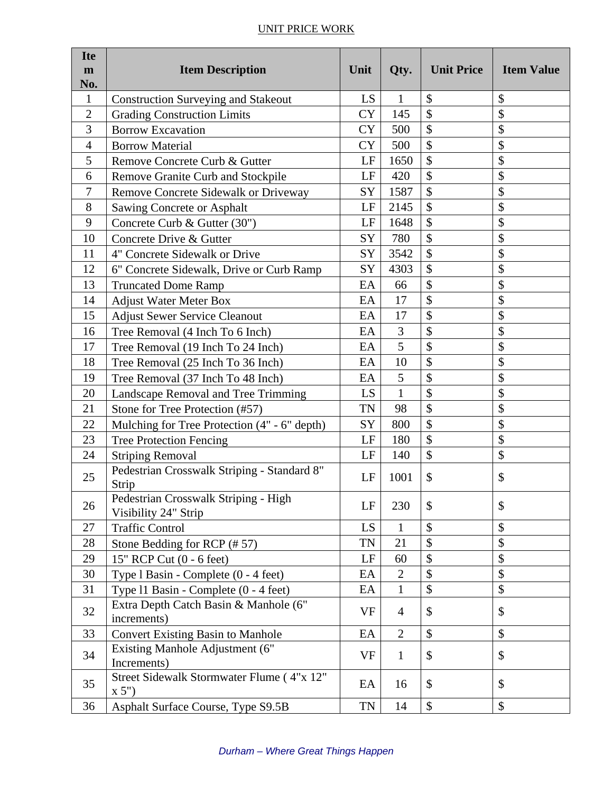## UNIT PRICE WORK

| <b>Ite</b><br>$\mathbf{m}$<br>No. | <b>Item Description</b>                                      | Unit      | Qty.           | <b>Unit Price</b> | <b>Item Value</b> |
|-----------------------------------|--------------------------------------------------------------|-----------|----------------|-------------------|-------------------|
| $\mathbf{1}$                      | <b>Construction Surveying and Stakeout</b>                   | LS        | 1              | \$                | \$                |
| $\overline{2}$                    | <b>Grading Construction Limits</b>                           | <b>CY</b> | 145            | \$                | \$                |
| 3                                 | <b>Borrow Excavation</b>                                     | <b>CY</b> | 500            | \$                | \$                |
| $\overline{4}$                    | <b>Borrow Material</b>                                       | <b>CY</b> | 500            | \$                | \$                |
| 5                                 | Remove Concrete Curb & Gutter                                | LF        | 1650           | \$                | \$                |
| 6                                 | Remove Granite Curb and Stockpile                            | LF        | 420            | \$                | \$                |
| 7                                 | Remove Concrete Sidewalk or Driveway                         | SY        | 1587           | \$                | \$                |
| 8                                 | Sawing Concrete or Asphalt                                   | LF        | 2145           | \$                | \$                |
| 9                                 | Concrete Curb & Gutter (30")                                 | LF        | 1648           | \$                | \$                |
| 10                                | Concrete Drive & Gutter                                      | SY        | 780            | \$                | \$                |
| 11                                | 4" Concrete Sidewalk or Drive                                | SY        | 3542           | \$                | \$                |
| 12                                | 6" Concrete Sidewalk, Drive or Curb Ramp                     | SY        | 4303           | $\mathcal{S}$     | \$                |
| 13                                | <b>Truncated Dome Ramp</b>                                   | EA        | 66             | \$                | \$                |
| 14                                | <b>Adjust Water Meter Box</b>                                | EA        | 17             | \$                | \$                |
| 15                                | <b>Adjust Sewer Service Cleanout</b>                         | EA        | 17             | \$                | \$                |
| 16                                | Tree Removal (4 Inch To 6 Inch)                              | EA        | 3              | $\mathcal{S}$     | \$                |
| 17                                | Tree Removal (19 Inch To 24 Inch)                            | EA        | 5              | \$                | \$                |
| 18                                | Tree Removal (25 Inch To 36 Inch)                            | EA        | 10             | \$                | \$                |
| 19                                | Tree Removal (37 Inch To 48 Inch)                            | EA        | 5              | \$                | \$                |
| 20                                | Landscape Removal and Tree Trimming                          | LS        | $\mathbf{1}$   | \$                | \$                |
| 21                                | Stone for Tree Protection (#57)                              | TN        | 98             | \$                | \$                |
| 22                                | Mulching for Tree Protection (4" - 6" depth)                 | SY        | 800            | \$                | \$                |
| 23                                | <b>Tree Protection Fencing</b>                               | LF        | 180            | \$                | \$                |
| 24                                | <b>Striping Removal</b>                                      | LF        | 140            | \$                | \$                |
| 25                                | Pedestrian Crosswalk Striping - Standard 8"<br>Strip         | LF        | 1001           | \$                | \$                |
| 26                                | Pedestrian Crosswalk Striping - High<br>Visibility 24" Strip | LF        | 230            | \$                | \$                |
| 27                                | <b>Traffic Control</b>                                       | LS        | 1              | $\mathcal{S}$     | \$                |
| 28                                | Stone Bedding for RCP $(\# 57)$                              | TN        | 21             | $\mathcal{S}$     | \$                |
| 29                                | 15" RCP Cut (0 - 6 feet)                                     | LF        | 60             | \$                | \$                |
| 30                                | Type 1 Basin - Complete (0 - 4 feet)                         | EA        | $\overline{2}$ | $\mathbb{S}$      | \$                |
| 31                                | Type 11 Basin - Complete (0 - 4 feet)                        | EA        | $\mathbf{1}$   | $\mathcal{S}$     | \$                |
| 32                                | Extra Depth Catch Basin & Manhole (6"<br>increments)         | <b>VF</b> | $\overline{4}$ | $\mathcal{S}$     | \$                |
| 33                                | <b>Convert Existing Basin to Manhole</b>                     | EA        | $\overline{2}$ | \$                | \$                |
| 34                                | Existing Manhole Adjustment (6"<br>Increments)               | VF        | $\mathbf{1}$   | \$                | \$                |
| 35                                | Street Sidewalk Stormwater Flume (4"x 12"<br>x 5"            | EA        | 16             | \$                | \$                |
| 36                                | Asphalt Surface Course, Type S9.5B                           | TN        | 14             | \$                | \$                |